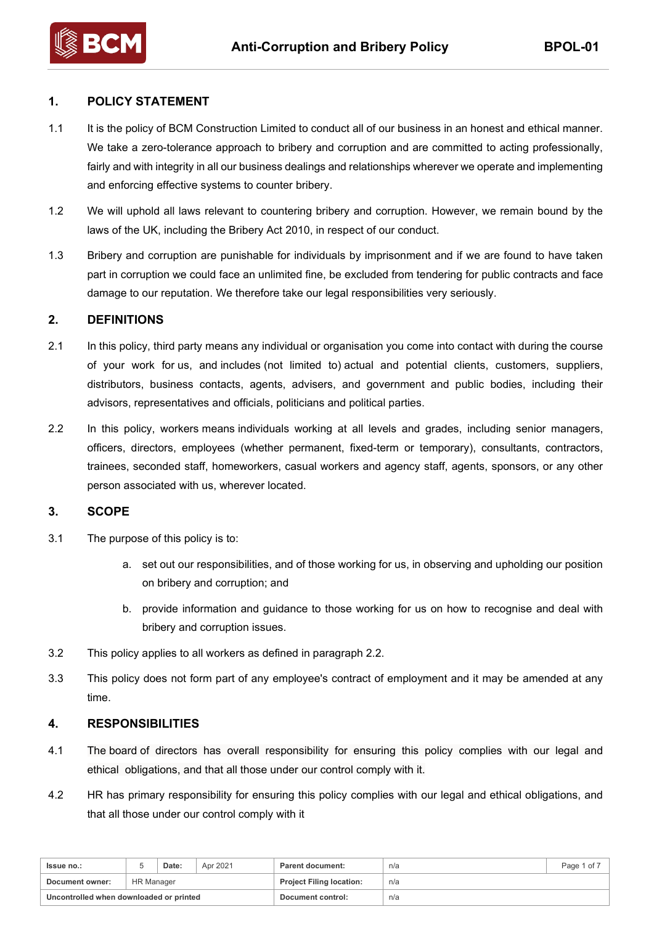# **1. POLICY STATEMENT**

- 1.1 It is the policy of BCM Construction Limited to conduct all of our business in an honest and ethical manner. We take a zero-tolerance approach to bribery and corruption and are committed to acting professionally, fairly and with integrity in all our business dealings and relationships wherever we operate and implementing and enforcing effective systems to counter bribery.
- 1.2 We will uphold all laws relevant to countering bribery and corruption. However, we remain bound by the laws of the UK, including the Bribery Act 2010, in respect of our conduct.
- 1.3 Bribery and corruption are punishable for individuals by imprisonment and if we are found to have taken part in corruption we could face an unlimited fine, be excluded from tendering for public contracts and face damage to our reputation. We therefore take our legal responsibilities very seriously.

### **2. DEFINITIONS**

- 2.1 In this policy, third party means any individual or organisation you come into contact with during the course of your work for us, and includes (not limited to) actual and potential clients, customers, suppliers, distributors, business contacts, agents, advisers, and government and public bodies, including their advisors, representatives and officials, politicians and political parties.
- 2.2 In this policy, workers means individuals working at all levels and grades, including senior managers, officers, directors, employees (whether permanent, fixed-term or temporary), consultants, contractors, trainees, seconded staff, homeworkers, casual workers and agency staff, agents, sponsors, or any other person associated with us, wherever located.

### **3. SCOPE**

- 3.1 The purpose of this policy is to:
	- a. set out our responsibilities, and of those working for us, in observing and upholding our position on bribery and corruption; and
	- b. provide information and guidance to those working for us on how to recognise and deal with bribery and corruption issues.
- 3.2 This policy applies to all workers as defined in paragraph 2.2.
- 3.3 This policy does not form part of any employee's contract of employment and it may be amended at any time.

### **4. RESPONSIBILITIES**

- 4.1 The board of directors has overall responsibility for ensuring this policy complies with our legal and ethical obligations, and that all those under our control comply with it.
- 4.2 HR has primary responsibility for ensuring this policy complies with our legal and ethical obligations, and that all those under our control comply with it

| <b>Issue no.:</b>                       |            | Date: | Apr 2021 | <b>Parent document:</b>         | n/a | Page 1 of |
|-----------------------------------------|------------|-------|----------|---------------------------------|-----|-----------|
| Document owner:                         | HR Manager |       |          | <b>Project Filing location:</b> | n/a |           |
| Uncontrolled when downloaded or printed |            |       |          | Document control:               | n/a |           |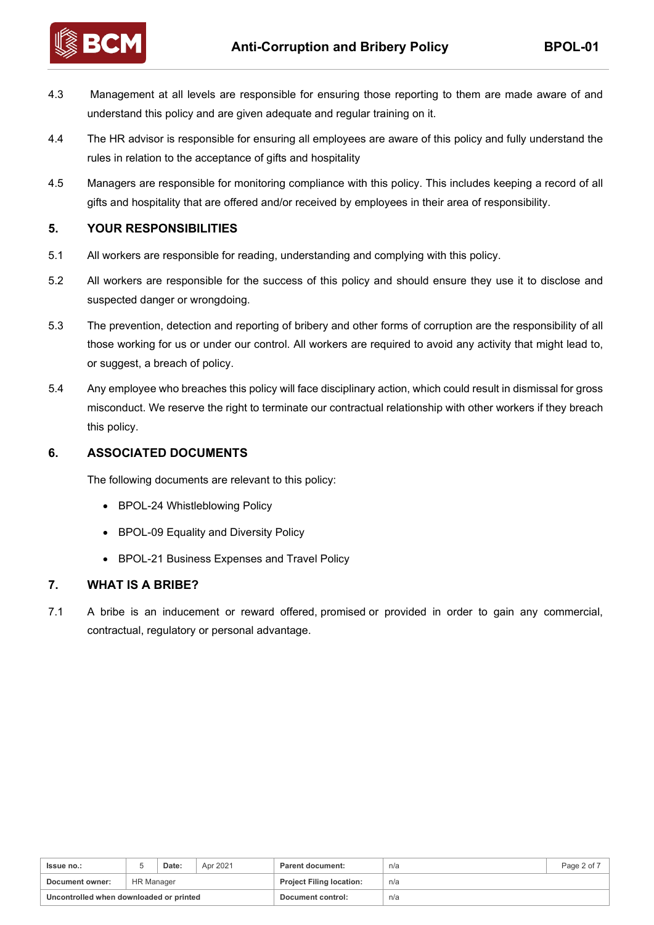

4.3 Management at all levels are responsible for ensuring those reporting to them are made aware of and understand this policy and are given adequate and regular training on it.

- 4.4 The HR advisor is responsible for ensuring all employees are aware of this policy and fully understand the rules in relation to the acceptance of gifts and hospitality
- 4.5 Managers are responsible for monitoring compliance with this policy. This includes keeping a record of all gifts and hospitality that are offered and/or received by employees in their area of responsibility.

# **5. YOUR RESPONSIBILITIES**

- 5.1 All workers are responsible for reading, understanding and complying with this policy.
- 5.2 All workers are responsible for the success of this policy and should ensure they use it to disclose and suspected danger or wrongdoing.
- 5.3 The prevention, detection and reporting of bribery and other forms of corruption are the responsibility of all those working for us or under our control. All workers are required to avoid any activity that might lead to, or suggest, a breach of policy.
- 5.4 Any employee who breaches this policy will face disciplinary action, which could result in dismissal for gross misconduct. We reserve the right to terminate our contractual relationship with other workers if they breach this policy.

# **6. ASSOCIATED DOCUMENTS**

The following documents are relevant to this policy:

- BPOL-24 Whistleblowing Policy
- BPOL-09 Equality and Diversity Policy
- BPOL-21 Business Expenses and Travel Policy

### **7. WHAT IS A BRIBE?**

7.1 A bribe is an inducement or reward offered, promised or provided in order to gain any commercial, contractual, regulatory or personal advantage.

| Issue no.:                              |                   | Date: | Apr 2021 | Parent document:                | n/a | Page 2 of 7 |
|-----------------------------------------|-------------------|-------|----------|---------------------------------|-----|-------------|
| Document owner:                         | <b>HR Manager</b> |       |          | <b>Project Filing location:</b> | n/a |             |
| Uncontrolled when downloaded or printed |                   |       |          | Document control:               | n/a |             |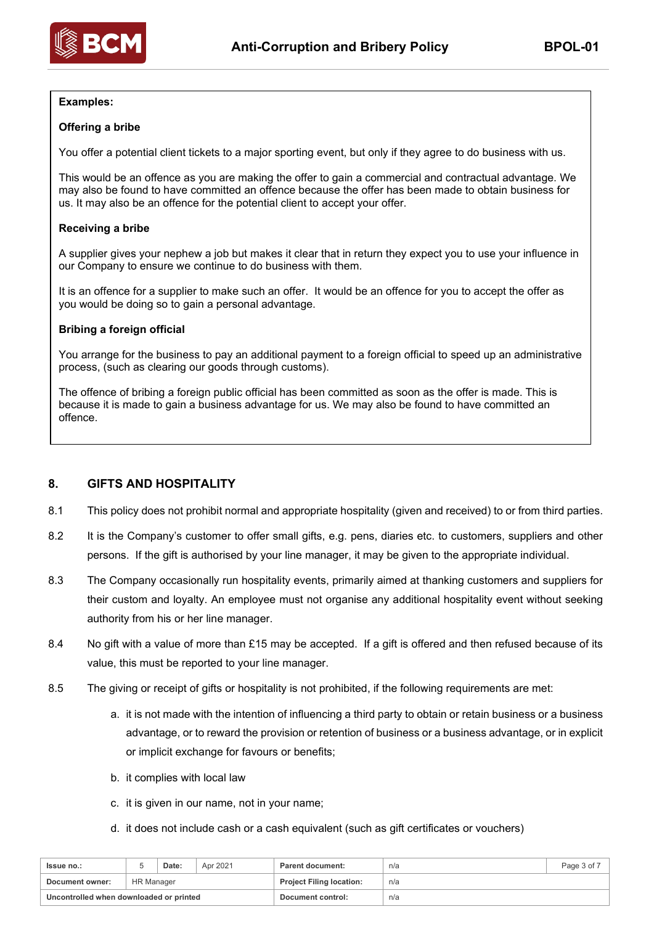

### **Examples:**

#### **Offering a bribe**

You offer a potential client tickets to a major sporting event, but only if they agree to do business with us.

This would be an offence as you are making the offer to gain a commercial and contractual advantage. We may also be found to have committed an offence because the offer has been made to obtain business for us. It may also be an offence for the potential client to accept your offer.

#### **Receiving a bribe**

A supplier gives your nephew a job but makes it clear that in return they expect you to use your influence in our Company to ensure we continue to do business with them.

It is an offence for a supplier to make such an offer. It would be an offence for you to accept the offer as you would be doing so to gain a personal advantage.

#### **Bribing a foreign official**

You arrange for the business to pay an additional payment to a foreign official to speed up an administrative process, (such as clearing our goods through customs).

The offence of bribing a foreign public official has been committed as soon as the offer is made. This is because it is made to gain a business advantage for us. We may also be found to have committed an offence.

### **8. GIFTS AND HOSPITALITY**

- 8.1 This policy does not prohibit normal and appropriate hospitality (given and received) to or from third parties.
- 8.2 It is the Company's customer to offer small gifts, e.g. pens, diaries etc. to customers, suppliers and other persons. If the gift is authorised by your line manager, it may be given to the appropriate individual.
- 8.3 The Company occasionally run hospitality events, primarily aimed at thanking customers and suppliers for their custom and loyalty. An employee must not organise any additional hospitality event without seeking authority from his or her line manager.
- 8.4 No gift with a value of more than £15 may be accepted. If a gift is offered and then refused because of its value, this must be reported to your line manager.
- 8.5 The giving or receipt of gifts or hospitality is not prohibited, if the following requirements are met:
	- a. it is not made with the intention of influencing a third party to obtain or retain business or a business advantage, or to reward the provision or retention of business or a business advantage, or in explicit or implicit exchange for favours or benefits;
	- b. it complies with local law
	- c. it is given in our name, not in your name;
	- d. it does not include cash or a cash equivalent (such as gift certificates or vouchers)

| <b>Issue no.:</b>                       |                   | Date: | Apr 2021 | Parent document:                | n/a | Page 3 of 7 |
|-----------------------------------------|-------------------|-------|----------|---------------------------------|-----|-------------|
| Document owner:                         | <b>HR Manager</b> |       |          | <b>Project Filing location:</b> | n/a |             |
| Uncontrolled when downloaded or printed |                   |       |          | Document control:               | n/a |             |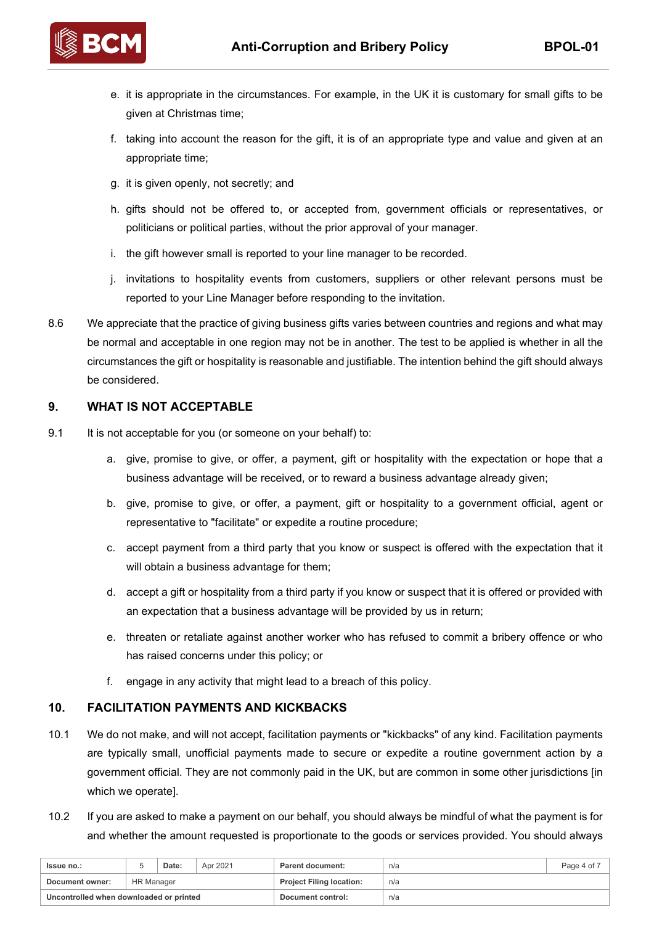

- e. it is appropriate in the circumstances. For example, in the UK it is customary for small gifts to be given at Christmas time;
- f. taking into account the reason for the gift, it is of an appropriate type and value and given at an appropriate time;
- g. it is given openly, not secretly; and
- h. gifts should not be offered to, or accepted from, government officials or representatives, or politicians or political parties, without the prior approval of your manager.
- i. the gift however small is reported to your line manager to be recorded.
- j. invitations to hospitality events from customers, suppliers or other relevant persons must be reported to your Line Manager before responding to the invitation.
- 8.6 We appreciate that the practice of giving business gifts varies between countries and regions and what may be normal and acceptable in one region may not be in another. The test to be applied is whether in all the circumstances the gift or hospitality is reasonable and justifiable. The intention behind the gift should always be considered.

# **9. WHAT IS NOT ACCEPTABLE**

- 9.1 It is not acceptable for you (or someone on your behalf) to:
	- a. give, promise to give, or offer, a payment, gift or hospitality with the expectation or hope that a business advantage will be received, or to reward a business advantage already given;
	- b. give, promise to give, or offer, a payment, gift or hospitality to a government official, agent or representative to "facilitate" or expedite a routine procedure;
	- c. accept payment from a third party that you know or suspect is offered with the expectation that it will obtain a business advantage for them;
	- d. accept a gift or hospitality from a third party if you know or suspect that it is offered or provided with an expectation that a business advantage will be provided by us in return;
	- e. threaten or retaliate against another worker who has refused to commit a bribery offence or who has raised concerns under this policy; or
	- f. engage in any activity that might lead to a breach of this policy.

### **10. FACILITATION PAYMENTS AND KICKBACKS**

- 10.1 We do not make, and will not accept, facilitation payments or "kickbacks" of any kind. Facilitation payments are typically small, unofficial payments made to secure or expedite a routine government action by a government official. They are not commonly paid in the UK, but are common in some other jurisdictions [in which we operate].
- 10.2 If you are asked to make a payment on our behalf, you should always be mindful of what the payment is for and whether the amount requested is proportionate to the goods or services provided. You should always

| <b>Issue no.:</b>                       |            | Date: | Apr 2021 | Parent document:                | n/a | Page 4 of 7 |
|-----------------------------------------|------------|-------|----------|---------------------------------|-----|-------------|
| Document owner:                         | HR Manager |       |          | <b>Project Filing location:</b> | n/a |             |
| Uncontrolled when downloaded or printed |            |       |          | Document control:               | n/a |             |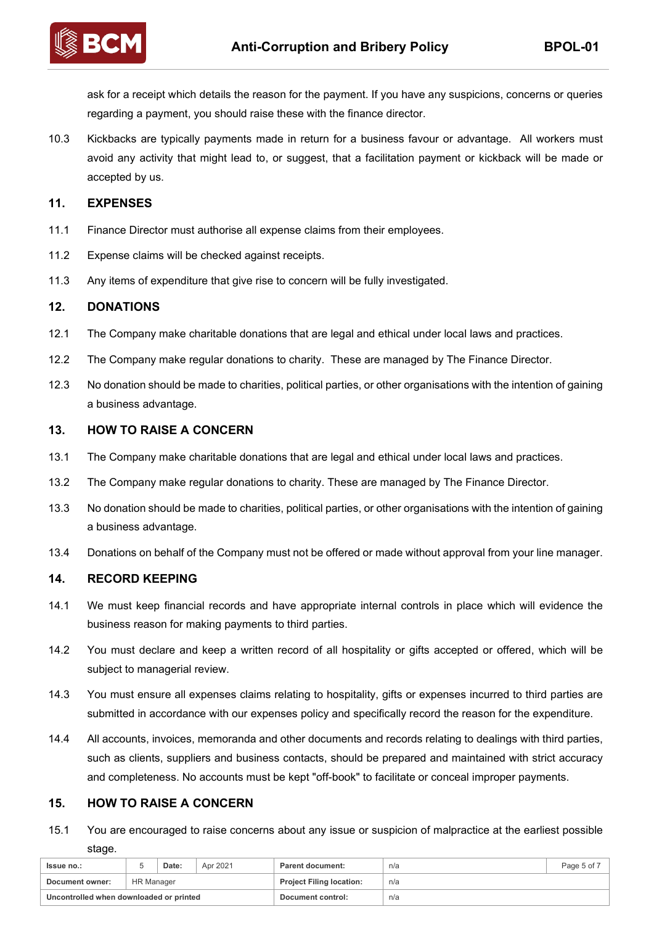

ask for a receipt which details the reason for the payment. If you have any suspicions, concerns or queries regarding a payment, you should raise these with the finance director.

10.3 Kickbacks are typically payments made in return for a business favour or advantage. All workers must avoid any activity that might lead to, or suggest, that a facilitation payment or kickback will be made or accepted by us.

#### **11. EXPENSES**

- 11.1 Finance Director must authorise all expense claims from their employees.
- 11.2 Expense claims will be checked against receipts.
- 11.3 Any items of expenditure that give rise to concern will be fully investigated.

#### **12. DONATIONS**

- 12.1 The Company make charitable donations that are legal and ethical under local laws and practices.
- 12.2 The Company make regular donations to charity. These are managed by The Finance Director.
- 12.3 No donation should be made to charities, political parties, or other organisations with the intention of gaining a business advantage.

#### **13. HOW TO RAISE A CONCERN**

- 13.1 The Company make charitable donations that are legal and ethical under local laws and practices.
- 13.2 The Company make regular donations to charity. These are managed by The Finance Director.
- 13.3 No donation should be made to charities, political parties, or other organisations with the intention of gaining a business advantage.
- 13.4 Donations on behalf of the Company must not be offered or made without approval from your line manager.

#### **14. RECORD KEEPING**

- 14.1 We must keep financial records and have appropriate internal controls in place which will evidence the business reason for making payments to third parties.
- 14.2 You must declare and keep a written record of all hospitality or gifts accepted or offered, which will be subject to managerial review.
- 14.3 You must ensure all expenses claims relating to hospitality, gifts or expenses incurred to third parties are submitted in accordance with our expenses policy and specifically record the reason for the expenditure.
- 14.4 All accounts, invoices, memoranda and other documents and records relating to dealings with third parties, such as clients, suppliers and business contacts, should be prepared and maintained with strict accuracy and completeness. No accounts must be kept "off-book" to facilitate or conceal improper payments.

# **15. HOW TO RAISE A CONCERN**

15.1 You are encouraged to raise concerns about any issue or suspicion of malpractice at the earliest possible stage.

| <b>Issue no.:</b>                       |                   | Date: | Apr 2021 | Parent document:                | n/a | Page 5 of 7 |
|-----------------------------------------|-------------------|-------|----------|---------------------------------|-----|-------------|
| Document owner:                         | <b>HR Manager</b> |       |          | <b>Project Filing location:</b> | n/a |             |
| Uncontrolled when downloaded or printed |                   |       |          | Document control:               | n/a |             |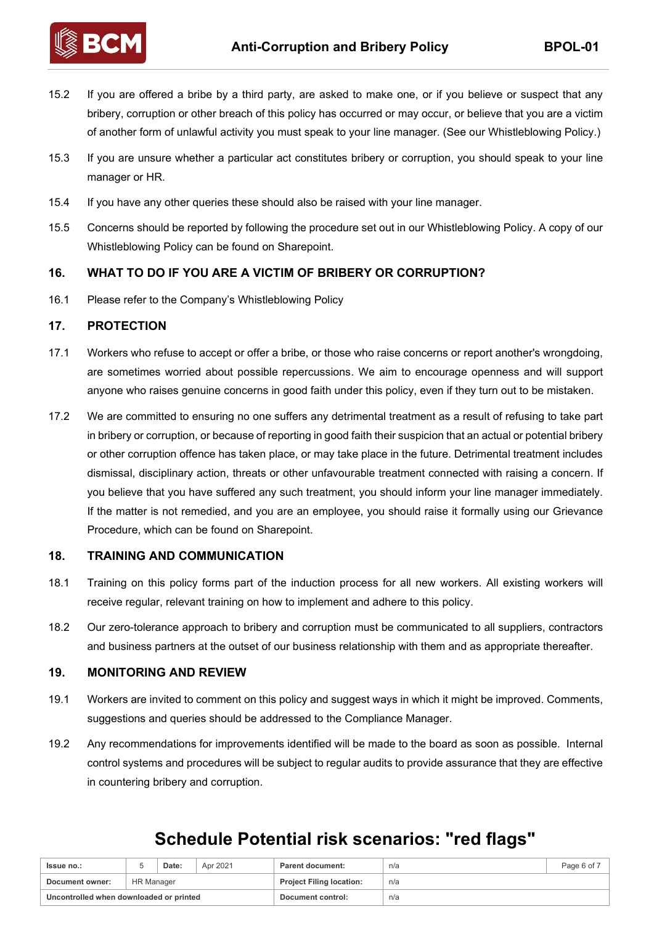

15.2 If you are offered a bribe by a third party, are asked to make one, or if you believe or suspect that any bribery, corruption or other breach of this policy has occurred or may occur, or believe that you are a victim of another form of unlawful activity you must speak to your line manager. (See our Whistleblowing Policy.)

- 15.3 If you are unsure whether a particular act constitutes bribery or corruption, you should speak to your line manager or HR.
- 15.4 If you have any other queries these should also be raised with your line manager.
- 15.5 Concerns should be reported by following the procedure set out in our Whistleblowing Policy. A copy of our Whistleblowing Policy can be found on Sharepoint.

# **16. WHAT TO DO IF YOU ARE A VICTIM OF BRIBERY OR CORRUPTION?**

16.1 Please refer to the Company's Whistleblowing Policy

### **17. PROTECTION**

- 17.1 Workers who refuse to accept or offer a bribe, or those who raise concerns or report another's wrongdoing, are sometimes worried about possible repercussions. We aim to encourage openness and will support anyone who raises genuine concerns in good faith under this policy, even if they turn out to be mistaken.
- 17.2 We are committed to ensuring no one suffers any detrimental treatment as a result of refusing to take part in bribery or corruption, or because of reporting in good faith their suspicion that an actual or potential bribery or other corruption offence has taken place, or may take place in the future. Detrimental treatment includes dismissal, disciplinary action, threats or other unfavourable treatment connected with raising a concern. If you believe that you have suffered any such treatment, you should inform your line manager immediately. If the matter is not remedied, and you are an employee, you should raise it formally using our Grievance Procedure, which can be found on Sharepoint.

### **18. TRAINING AND COMMUNICATION**

- 18.1 Training on this policy forms part of the induction process for all new workers. All existing workers will receive regular, relevant training on how to implement and adhere to this policy.
- 18.2 Our zero-tolerance approach to bribery and corruption must be communicated to all suppliers, contractors and business partners at the outset of our business relationship with them and as appropriate thereafter.

### **19. MONITORING AND REVIEW**

- 19.1 Workers are invited to comment on this policy and suggest ways in which it might be improved. Comments, suggestions and queries should be addressed to the Compliance Manager.
- 19.2 Any recommendations for improvements identified will be made to the board as soon as possible. Internal control systems and procedures will be subject to regular audits to provide assurance that they are effective in countering bribery and corruption.

# **Issue no.:** The State: Apr 2021 **Parent document:** Page 6 of 7 and 2011 **Page 6 of 7 Document owner:** HR Manager **Project Filing location:** n/a **Uncontrolled when downloaded or printed Document control:** n/a

# **Schedule Potential risk scenarios: "red flags"**